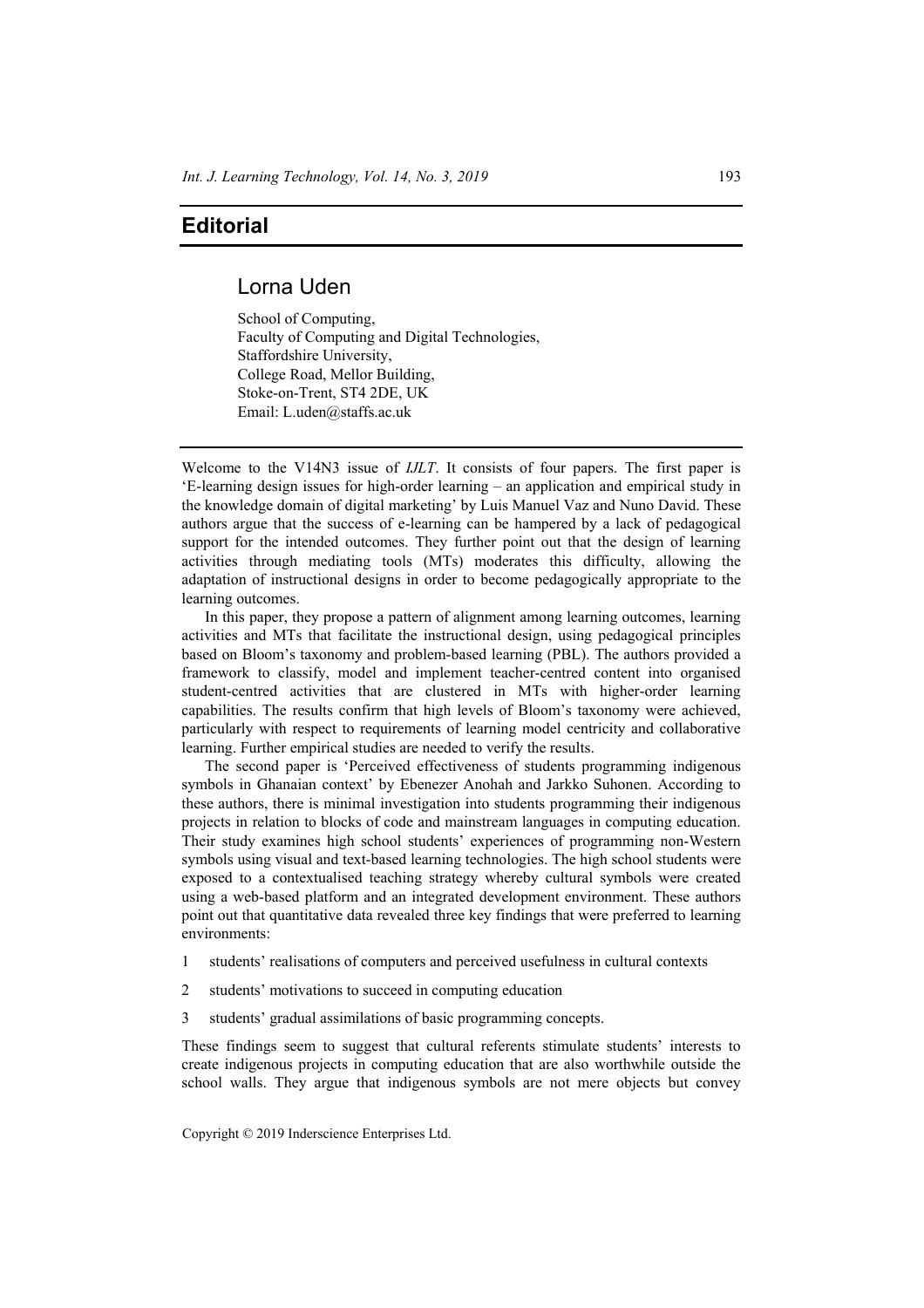## **Editorial**

## Lorna Uden

School of Computing, Faculty of Computing and Digital Technologies, Staffordshire University, College Road, Mellor Building, Stoke-on-Trent, ST4 2DE, UK Email: L.uden@staffs.ac.uk

Welcome to the V14N3 issue of *IJLT*. It consists of four papers. The first paper is 'E-learning design issues for high-order learning – an application and empirical study in the knowledge domain of digital marketing' by Luis Manuel Vaz and Nuno David. These authors argue that the success of e-learning can be hampered by a lack of pedagogical support for the intended outcomes. They further point out that the design of learning activities through mediating tools (MTs) moderates this difficulty, allowing the adaptation of instructional designs in order to become pedagogically appropriate to the learning outcomes.

In this paper, they propose a pattern of alignment among learning outcomes, learning activities and MTs that facilitate the instructional design, using pedagogical principles based on Bloom's taxonomy and problem-based learning (PBL). The authors provided a framework to classify, model and implement teacher-centred content into organised student-centred activities that are clustered in MTs with higher-order learning capabilities. The results confirm that high levels of Bloom's taxonomy were achieved, particularly with respect to requirements of learning model centricity and collaborative learning. Further empirical studies are needed to verify the results.

The second paper is 'Perceived effectiveness of students programming indigenous symbols in Ghanaian context' by Ebenezer Anohah and Jarkko Suhonen. According to these authors, there is minimal investigation into students programming their indigenous projects in relation to blocks of code and mainstream languages in computing education. Their study examines high school students' experiences of programming non-Western symbols using visual and text-based learning technologies. The high school students were exposed to a contextualised teaching strategy whereby cultural symbols were created using a web-based platform and an integrated development environment. These authors point out that quantitative data revealed three key findings that were preferred to learning environments:

- 1 students' realisations of computers and perceived usefulness in cultural contexts
- 2 students' motivations to succeed in computing education
- 3 students' gradual assimilations of basic programming concepts.

These findings seem to suggest that cultural referents stimulate students' interests to create indigenous projects in computing education that are also worthwhile outside the school walls. They argue that indigenous symbols are not mere objects but convey